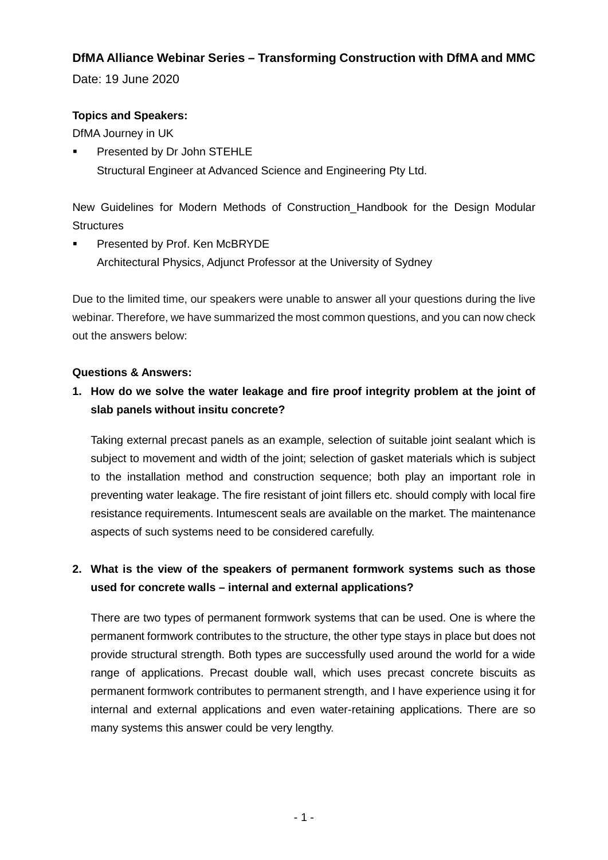#### **DfMA Alliance Webinar Series – Transforming Construction with DfMA and MMC**

Date: 19 June 2020

#### **Topics and Speakers:**

DfMA Journey in UK

 Presented by Dr John STEHLE Structural Engineer at Advanced Science and Engineering Pty Ltd.

New Guidelines for Modern Methods of Construction\_Handbook for the Design Modular **Structures** 

 Presented by Prof. Ken McBRYDE Architectural Physics, Adjunct Professor at the University of Sydney

Due to the limited time, our speakers were unable to answer all your questions during the live webinar. Therefore, we have summarized the most common questions, and you can now check out the answers below:

#### **Questions & Answers:**

#### **1. How do we solve the water leakage and fire proof integrity problem at the joint of slab panels without insitu concrete?**

Taking external precast panels as an example, selection of suitable joint sealant which is subject to movement and width of the joint; selection of gasket materials which is subject to the installation method and construction sequence; both play an important role in preventing water leakage. The fire resistant of joint fillers etc. should comply with local fire resistance requirements. Intumescent seals are available on the market. The maintenance aspects of such systems need to be considered carefully.

## **2. What is the view of the speakers of permanent formwork systems such as those used for concrete walls – internal and external applications?**

There are two types of permanent formwork systems that can be used. One is where the permanent formwork contributes to the structure, the other type stays in place but does not provide structural strength. Both types are successfully used around the world for a wide range of applications. Precast double wall, which uses precast concrete biscuits as permanent formwork contributes to permanent strength, and I have experience using it for internal and external applications and even water-retaining applications. There are so many systems this answer could be very lengthy.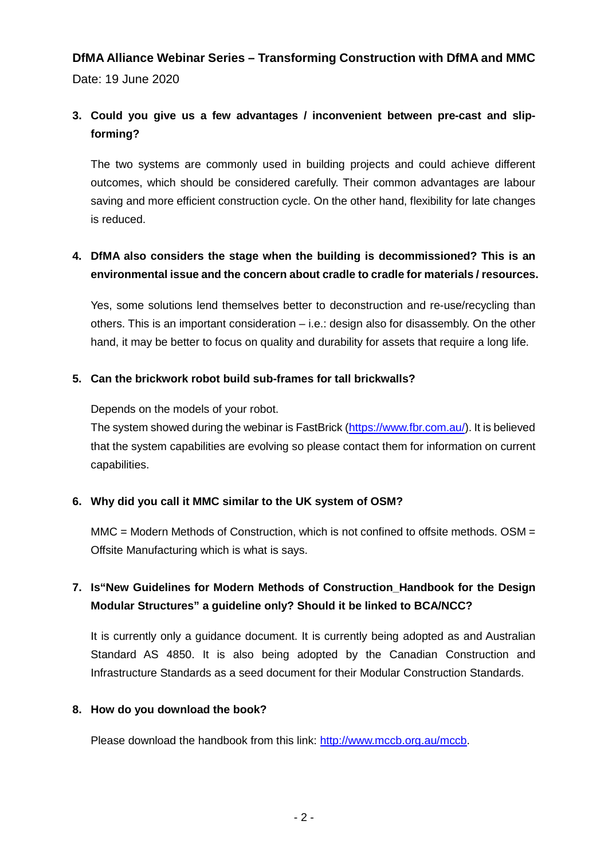# **DfMA Alliance Webinar Series – Transforming Construction with DfMA and MMC**

Date: 19 June 2020

## **3. Could you give us a few advantages / inconvenient between pre-cast and slipforming?**

The two systems are commonly used in building projects and could achieve different outcomes, which should be considered carefully. Their common advantages are labour saving and more efficient construction cycle. On the other hand, flexibility for late changes is reduced.

#### **4. DfMA also considers the stage when the building is decommissioned? This is an environmental issue and the concern about cradle to cradle for materials / resources.**

Yes, some solutions lend themselves better to deconstruction and re-use/recycling than others. This is an important consideration – i.e.: design also for disassembly. On the other hand, it may be better to focus on quality and durability for assets that require a long life.

#### **5. Can the brickwork robot build sub-frames for tall brickwalls?**

Depends on the models of your robot.

The system showed during the webinar is FastBrick [\(https://www.fbr.com.au/\)](https://www.fbr.com.au/). It is believed that the system capabilities are evolving so please contact them for information on current capabilities.

#### **6. Why did you call it MMC similar to the UK system of OSM?**

MMC = Modern Methods of Construction, which is not confined to offsite methods. OSM = Offsite Manufacturing which is what is says.

## **7. Is"New Guidelines for Modern Methods of Construction\_Handbook for the Design Modular Structures" a guideline only? Should it be linked to BCA/NCC?**

It is currently only a guidance document. It is currently being adopted as and Australian Standard AS 4850. It is also being adopted by the Canadian Construction and Infrastructure Standards as a seed document for their Modular Construction Standards.

#### **8. How do you download the book?**

Please download the handbook from this link: [http://www.mccb.org.au/mccb.](http://www.mccb.org.au/mccb)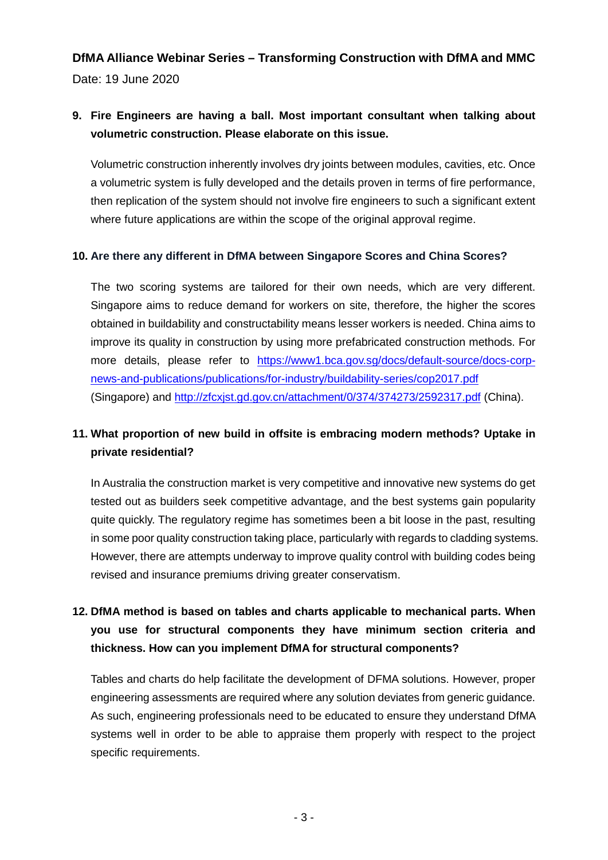## **DfMA Alliance Webinar Series – Transforming Construction with DfMA and MMC** Date: 19 June 2020

#### **9. Fire Engineers are having a ball. Most important consultant when talking about volumetric construction. Please elaborate on this issue.**

Volumetric construction inherently involves dry joints between modules, cavities, etc. Once a volumetric system is fully developed and the details proven in terms of fire performance, then replication of the system should not involve fire engineers to such a significant extent where future applications are within the scope of the original approval regime.

#### **10. Are there any different in DfMA between Singapore Scores and China Scores?**

The two scoring systems are tailored for their own needs, which are very different. Singapore aims to reduce demand for workers on site, therefore, the higher the scores obtained in buildability and constructability means lesser workers is needed. China aims to improve its quality in construction by using more prefabricated construction methods. For more details, please refer to [https://www1.bca.gov.sg/docs/default-source/docs-corp](https://www1.bca.gov.sg/docs/default-source/docs-corp-news-and-publications/publications/for-industry/buildability-series/cop2017.pdf)[news-and-publications/publications/for-industry/buildability-series/cop2017.pdf](https://www1.bca.gov.sg/docs/default-source/docs-corp-news-and-publications/publications/for-industry/buildability-series/cop2017.pdf) (Singapore) and<http://zfcxjst.gd.gov.cn/attachment/0/374/374273/2592317.pdf> (China).

## **11. What proportion of new build in offsite is embracing modern methods? Uptake in private residential?**

In Australia the construction market is very competitive and innovative new systems do get tested out as builders seek competitive advantage, and the best systems gain popularity quite quickly. The regulatory regime has sometimes been a bit loose in the past, resulting in some poor quality construction taking place, particularly with regards to cladding systems. However, there are attempts underway to improve quality control with building codes being revised and insurance premiums driving greater conservatism.

## **12. DfMA method is based on tables and charts applicable to mechanical parts. When you use for structural components they have minimum section criteria and thickness. How can you implement DfMA for structural components?**

Tables and charts do help facilitate the development of DFMA solutions. However, proper engineering assessments are required where any solution deviates from generic guidance. As such, engineering professionals need to be educated to ensure they understand DfMA systems well in order to be able to appraise them properly with respect to the project specific requirements.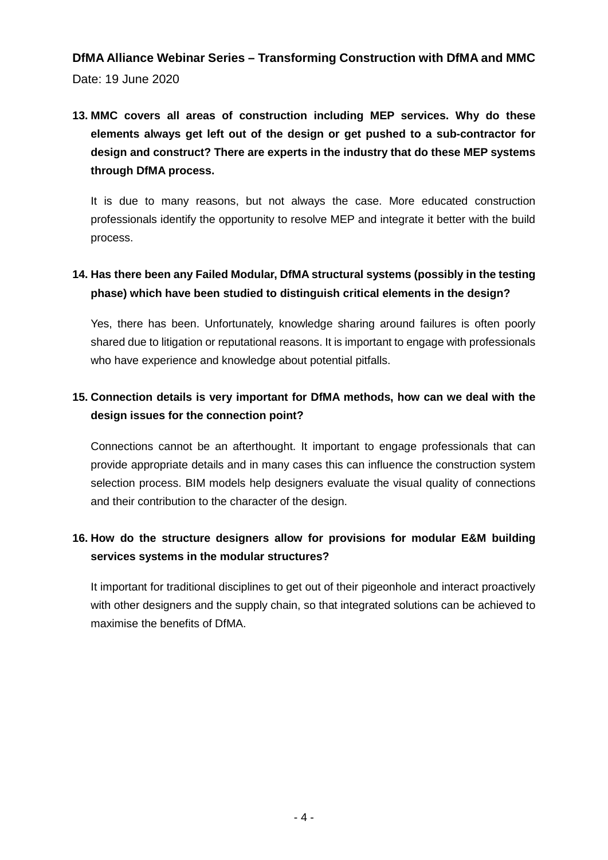## **DfMA Alliance Webinar Series – Transforming Construction with DfMA and MMC** Date: 19 June 2020

**13. MMC covers all areas of construction including MEP services. Why do these elements always get left out of the design or get pushed to a sub-contractor for design and construct? There are experts in the industry that do these MEP systems through DfMA process.**

It is due to many reasons, but not always the case. More educated construction professionals identify the opportunity to resolve MEP and integrate it better with the build process.

## **14. Has there been any Failed Modular, DfMA structural systems (possibly in the testing phase) which have been studied to distinguish critical elements in the design?**

Yes, there has been. Unfortunately, knowledge sharing around failures is often poorly shared due to litigation or reputational reasons. It is important to engage with professionals who have experience and knowledge about potential pitfalls.

## **15. Connection details is very important for DfMA methods, how can we deal with the design issues for the connection point?**

Connections cannot be an afterthought. It important to engage professionals that can provide appropriate details and in many cases this can influence the construction system selection process. BIM models help designers evaluate the visual quality of connections and their contribution to the character of the design.

## **16. How do the structure designers allow for provisions for modular E&M building services systems in the modular structures?**

It important for traditional disciplines to get out of their pigeonhole and interact proactively with other designers and the supply chain, so that integrated solutions can be achieved to maximise the benefits of DfMA.